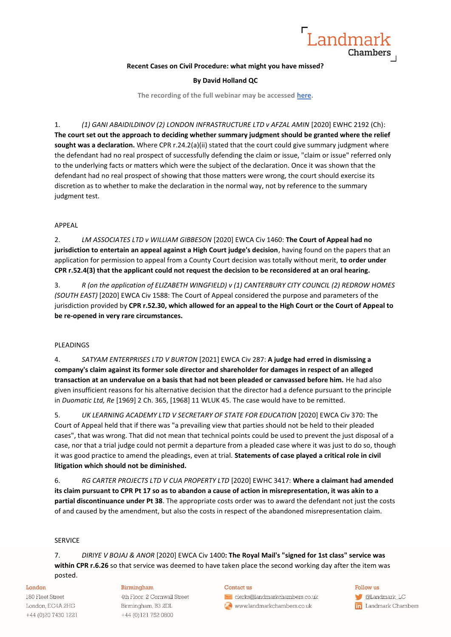

# **Recent Cases on Civil Procedure: what might you have missed?**

## **By David Holland QC**

**The recording of the full webinar may be accessed [here.](https://bit.ly/3zzAdF5)**

1. *(1) GANI ABAIDILDINOV (2) LONDON INFRASTRUCTURE LTD v AFZAL AMIN* [2020] EWHC 2192 (Ch): **The court set out the approach to deciding whether summary judgment should be granted where the relief**  sought was a declaration. Where CPR r.24.2(a)(ii) stated that the court could give summary judgment where the defendant had no real prospect of successfully defending the claim or issue, "claim or issue" referred only to the underlying facts or matters which were the subject of the declaration. Once it was shown that the defendant had no real prospect of showing that those matters were wrong, the court should exercise its discretion as to whether to make the declaration in the normal way, not by reference to the summary judgment test.

# APPEAL

2. *LM ASSOCIATES LTD v WILLIAM GIBBESON* [2020] EWCA Civ 1460: **The Court of Appeal had no jurisdiction to entertain an appeal against a High Court judge's decision**, having found on the papers that an application for permission to appeal from a County Court decision was totally without merit, **to order under CPR r.52.4(3) that the applicant could not request the decision to be reconsidered at an oral hearing.**

3. *R (on the application of ELIZABETH WINGFIELD) v (1) CANTERBURY CITY COUNCIL (2) REDROW HOMES (SOUTH EAST)* [2020] EWCA Civ 1588: The Court of Appeal considered the purpose and parameters of the jurisdiction provided by **CPR r.52.30, which allowed for an appeal to the High Court or the Court of Appeal to be re-opened in very rare circumstances.**

# PLEADINGS

4. *SATYAM ENTERPRISES LTD V BURTON* [2021] EWCA Civ 287: **A judge had erred in dismissing a company's claim against its former sole director and shareholder for damages in respect of an alleged transaction at an undervalue on a basis that had not been pleaded or canvassed before him.** He had also given insufficient reasons for his alternative decision that the director had a defence pursuant to the principle in *Duomatic Ltd, Re* [1969] 2 Ch. 365, [1968] 11 WLUK 45. The case would have to be remitted.

5. *UK LEARNING ACADEMY LTD V SECRETARY OF STATE FOR EDUCATION* [2020] EWCA Civ 370: The Court of Appeal held that if there was "a prevailing view that parties should not be held to their pleaded cases", that was wrong. That did not mean that technical points could be used to prevent the just disposal of a case, nor that a trial judge could not permit a departure from a pleaded case where it was just to do so, though it was good practice to amend the pleadings, even at trial. **Statements of case played a critical role in civil litigation which should not be diminished.**

6. *RG CARTER PROJECTS LTD V CUA PROPERTY LTD* [2020] EWHC 3417: **Where a claimant had amended its claim pursuant to CPR Pt 17 so as to abandon a cause of action in misrepresentation, it was akin to a partial discontinuance under Pt 38**. The appropriate costs order was to award the defendant not just the costs of and caused by the amendment, but also the costs in respect of the abandoned misrepresentation claim.

## SERVICE

7. *DIRIYE V BOJAJ & ANOR* [2020] EWCA Civ 1400**: The Royal Mail's "signed for 1st class" service was within CPR r.6.26** so that service was deemed to have taken place the second working day after the item was posted.

## London

180 Fleet Street London, EC4A 2HG +44 (0) 20 7430 1221

# Birmingham

4th Floor, 2 Cornwall Street Birmingham, B3 2DL +44 (0)121 752 0800

### Contact us

clerks@landmarkchambers.co.uk www.landmarkchambers.co.uk

# Follow us

**C**Landmark\_LC in Landmark Chambers